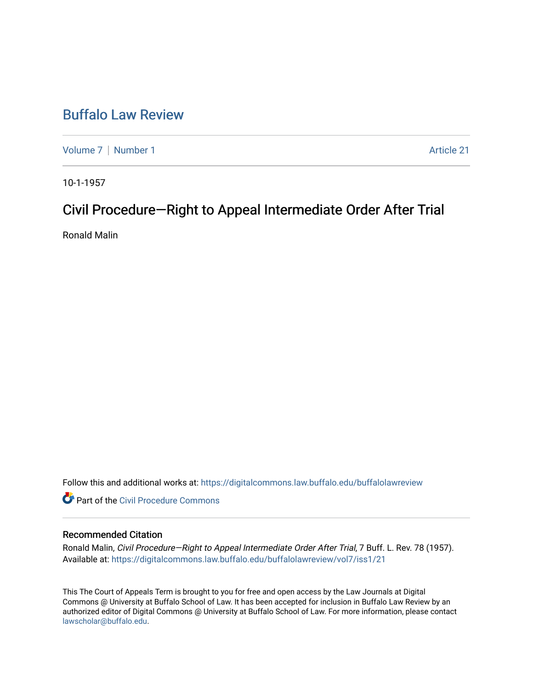## [Buffalo Law Review](https://digitalcommons.law.buffalo.edu/buffalolawreview)

[Volume 7](https://digitalcommons.law.buffalo.edu/buffalolawreview/vol7) | [Number 1](https://digitalcommons.law.buffalo.edu/buffalolawreview/vol7/iss1) Article 21

10-1-1957

# Civil Procedure—Right to Appeal Intermediate Order After Trial

Ronald Malin

Follow this and additional works at: [https://digitalcommons.law.buffalo.edu/buffalolawreview](https://digitalcommons.law.buffalo.edu/buffalolawreview?utm_source=digitalcommons.law.buffalo.edu%2Fbuffalolawreview%2Fvol7%2Fiss1%2F21&utm_medium=PDF&utm_campaign=PDFCoverPages) 

**C** Part of the Civil Procedure Commons

### Recommended Citation

Ronald Malin, Civil Procedure-Right to Appeal Intermediate Order After Trial, 7 Buff. L. Rev. 78 (1957). Available at: [https://digitalcommons.law.buffalo.edu/buffalolawreview/vol7/iss1/21](https://digitalcommons.law.buffalo.edu/buffalolawreview/vol7/iss1/21?utm_source=digitalcommons.law.buffalo.edu%2Fbuffalolawreview%2Fvol7%2Fiss1%2F21&utm_medium=PDF&utm_campaign=PDFCoverPages) 

This The Court of Appeals Term is brought to you for free and open access by the Law Journals at Digital Commons @ University at Buffalo School of Law. It has been accepted for inclusion in Buffalo Law Review by an authorized editor of Digital Commons @ University at Buffalo School of Law. For more information, please contact [lawscholar@buffalo.edu](mailto:lawscholar@buffalo.edu).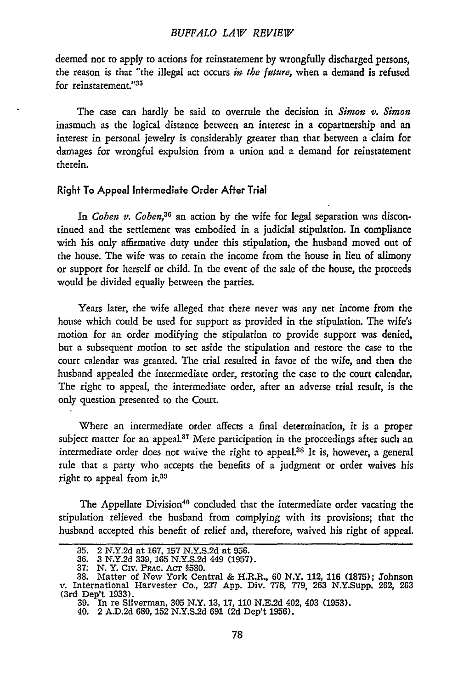#### *BUFFALO LAIV REVIEIV*

deemed not to apply to actions for reinstatement by wrongfully discharged persons, the reason is that "the illegal act occurs *in the future,* when a demand is refused for reinstatement."35

The case can hardly be said to overrule the decision in *Simon* v. *Simon* inasmuch as the logical distance between an interest in a copartnership and an interest in personal jewelry is considerably greater than that between a daim for damages for wrongful expulsion from a union and a demand for reinstatement therein.

#### Right To Appeal Intermediate Order After Trial

In *Cohen v. Cohen,36* an action by the wife for legal separation was discontinued and the settlement was embodied in a judicial stipulation. In compliance with his only affirmative duty under this stipulation, the husband moved out of the house. The wife was to retain the income from the house in lieu of alimony or support for herself or child. In the event of the sale of the house, the proceeds would be divided equally between the parties.

Years later, the wife alleged that there never was any net income from the house which could be used for support as provided in the stipulation. The wife's motion for an order modifying the stipulation to provide support was denied, but a subsequent motion to set aside the stipulation and restore the case to the court calendar was granted. The trial resulted in favor of the wife, and then the husband appealed the intermediate order, restoring the case to the court calendar. The right to appeal, the intermediate order, after an adverse trial result, is the only question presented to the Court.

Where an intermediate order affects a final determination, it is a proper subject matter for an appeal.<sup>37</sup> Mere participation in the proceedings after such an intermediate order does not waive the right to appeal.38 It is, however, a general rule that a party who accepts the benefits of a judgment or order waives his right to appeal from it.39

The Appellate Division<sup>40</sup> concluded that the intermediate order vacating the stipulation relieved the husband from complying with its provisions; that the husband accepted this benefit of relief and, therefore, waived his right of appeal.

**<sup>35.</sup>** 2 N.Y.2d at 167, 157 N.Y.S.2d at 956. 36. 3 N.Y.2d 339, 165 N.Y.S.2d 449 (1957).

**<sup>35.</sup> 2 N.Y.2d at 101, 101, 203.2d**<br> **36. 3 N.Y.2d 339, 165 N.Y.S.2d**<br> **37. N.Y. Civ. PRAC. ACT §580.**<br> **37. Motter of New York Cen** 38. Matter of New York Central & H.R.R., 60 N.Y. 112, 116 (1875); Johnson v. International Harvester Co., **237** App. Div. 778, 779, 263 N.Y.Supp. 262, **<sup>263</sup>** (3rd Dep't 1933).

<sup>39.</sup> In re Silverman, 305 N.Y. **13, 17,** 110 N.E.2d 402, 403 (1953).

<sup>40. 2</sup> A.D.2d 680, **152** N.Y.S.2d 691 (2d Dep't 1956).